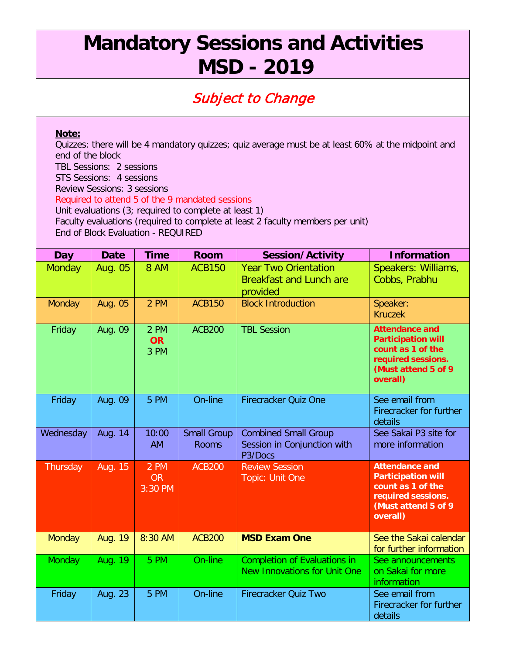## **Mandatory Sessions and Activities MSD - 2019**

## Subject to Change

## **Note:**

Quizzes: there will be 4 mandatory quizzes; quiz average must be at least 60% at the midpoint and end of the block TBL Sessions: 2 sessions STS Sessions: 4 sessions Review Sessions: 3 sessions Required to attend 5 of the 9 mandated sessions Unit evaluations (3; required to complete at least 1) Faculty evaluations (required to complete at least 2 faculty members per unit) End of Block Evaluation - REQUIRED

| Day           | <b>Date</b> | <b>Time</b>                  | <b>Room</b>                        | <b>Session/Activity</b>                                                   | <b>Information</b>                                                                                                                |
|---------------|-------------|------------------------------|------------------------------------|---------------------------------------------------------------------------|-----------------------------------------------------------------------------------------------------------------------------------|
| <b>Monday</b> | Aug. 05     | <b>8 AM</b>                  | <b>ACB150</b>                      | <b>Year Two Orientation</b><br><b>Breakfast and Lunch are</b><br>provided | Speakers: Williams,<br>Cobbs, Prabhu                                                                                              |
| Monday        | Aug. 05     | 2 PM                         | <b>ACB150</b>                      | <b>Block Introduction</b>                                                 | Speaker:<br><b>Kruczek</b>                                                                                                        |
| Friday        | Aug. 09     | 2 PM<br><b>OR</b><br>3 PM    | <b>ACB200</b>                      | <b>TBL Session</b>                                                        | <b>Attendance and</b><br><b>Participation will</b><br>count as 1 of the<br>required sessions.<br>(Must attend 5 of 9<br>overall)  |
| Friday        | Aug. 09     | 5 PM                         | On-line                            | <b>Firecracker Quiz One</b>                                               | See email from<br>Firecracker for further<br>details                                                                              |
| Wednesday     | Aug. 14     | 10:00<br><b>AM</b>           | <b>Small Group</b><br><b>Rooms</b> | <b>Combined Small Group</b><br>Session in Conjunction with<br>P3/Docs     | See Sakai P3 site for<br>more information                                                                                         |
| Thursday      | Aug. 15     | 2 PM<br><b>OR</b><br>3:30 PM | <b>ACB200</b>                      | <b>Review Session</b><br>Topic: Unit One                                  | <b>Attendance and</b><br><b>Participation will</b><br>count as 1 of the<br>required sessions.<br>(Must attend 5 of 9)<br>overall) |
| <b>Monday</b> | Aug. 19     | 8:30 AM                      | <b>ACB200</b>                      | <b>MSD Exam One</b>                                                       | See the Sakai calendar<br>for further information                                                                                 |
| Monday        | Aug. 19     | 5 PM                         | On-line                            | <b>Completion of Evaluations in</b><br>New Innovations for Unit One       | See announcements<br>on Sakai for more<br>information                                                                             |
| Friday        | Aug. 23     | 5 PM                         | On-line                            | Firecracker Quiz Two                                                      | See email from<br>Firecracker for further<br>details                                                                              |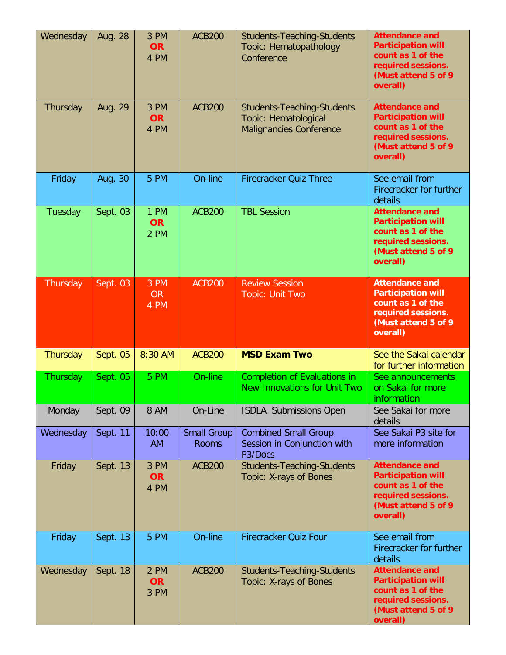| Wednesday       | Aug. 28  | 3 PM<br><b>OR</b><br>4 PM | <b>ACB200</b>                      | <b>Students-Teaching-Students</b><br>Topic: Hematopathology<br>Conference                   | <b>Attendance and</b><br><b>Participation will</b><br>count as 1 of the<br>required sessions.<br>(Must attend 5 of 9<br>overall)  |
|-----------------|----------|---------------------------|------------------------------------|---------------------------------------------------------------------------------------------|-----------------------------------------------------------------------------------------------------------------------------------|
| Thursday        | Aug. 29  | 3 PM<br><b>OR</b><br>4 PM | <b>ACB200</b>                      | <b>Students-Teaching-Students</b><br>Topic: Hematological<br><b>Malignancies Conference</b> | <b>Attendance and</b><br><b>Participation will</b><br>count as 1 of the<br>required sessions.<br>(Must attend 5 of 9<br>overall)  |
| Friday          | Aug. 30  | 5 PM                      | On-line                            | <b>Firecracker Quiz Three</b>                                                               | See email from<br>Firecracker for further<br>details                                                                              |
| Tuesday         | Sept. 03 | 1 PM<br><b>OR</b><br>2 PM | <b>ACB200</b>                      | <b>TBL Session</b>                                                                          | <b>Attendance and</b><br><b>Participation will</b><br>count as 1 of the<br>required sessions.<br>(Must attend 5 of 9)<br>overall) |
| Thursday        | Sept. 03 | 3 PM<br><b>OR</b><br>4 PM | <b>ACB200</b>                      | <b>Review Session</b><br><b>Topic: Unit Two</b>                                             | <b>Attendance and</b><br><b>Participation will</b><br>count as 1 of the<br>required sessions.<br>(Must attend 5 of 9<br>overall)  |
| Thursday        | Sept. 05 | 8:30 AM                   | <b>ACB200</b>                      | <b>MSD Exam Two</b>                                                                         | See the Sakai calendar<br>for further information                                                                                 |
|                 |          |                           |                                    |                                                                                             |                                                                                                                                   |
| <b>Thursday</b> | Sept. 05 | 5 PM                      | On-line                            | <b>Completion of Evaluations in</b><br><b>New Innovations for Unit Two</b>                  | See announcements<br>on Sakai for more<br>information                                                                             |
| Monday          | Sept. 09 | <b>8 AM</b>               | On-Line                            | <b>ISDLA Submissions Open</b>                                                               | See Sakai for more<br>details                                                                                                     |
| Wednesday       | Sept. 11 | 10:00<br><b>AM</b>        | <b>Small Group</b><br><b>Rooms</b> | <b>Combined Small Group</b><br>Session in Conjunction with<br>P3/Docs                       | See Sakai P3 site for<br>more information                                                                                         |
| Friday          | Sept. 13 | 3 PM<br><b>OR</b><br>4 PM | <b>ACB200</b>                      | <b>Students-Teaching-Students</b><br>Topic: X-rays of Bones                                 | <b>Attendance and</b><br><b>Participation will</b><br>count as 1 of the<br>required sessions.<br>(Must attend 5 of 9<br>overall)  |
| Friday          | Sept. 13 | 5 PM                      | On-line                            | Firecracker Quiz Four                                                                       | See email from<br>Firecracker for further<br>details                                                                              |